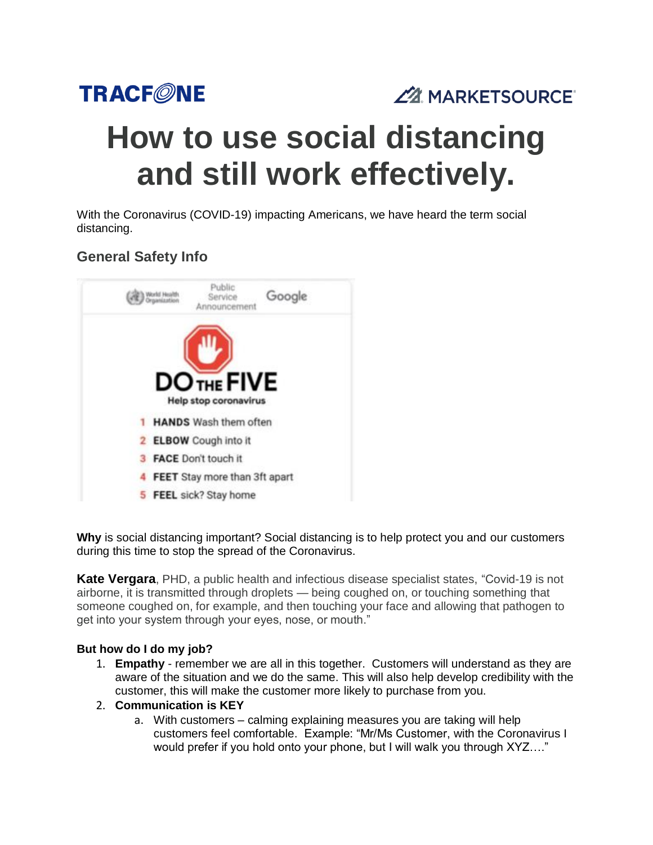

ZZ MARKETSOURCE®

# **How to use social distancing and still work effectively.**

With the Coronavirus (COVID-19) impacting Americans, we have heard the term social distancing.

## **General Safety Info**



**Why** is social distancing important? Social distancing is to help protect you and our customers during this time to stop the spread of the Coronavirus.

**Kate Vergara**, PHD, a public health and infectious disease specialist states, "Covid-19 is not airborne, it is transmitted through droplets — being coughed on, or touching something that someone coughed on, for example, and then touching your face and allowing that pathogen to get into your system through your eyes, nose, or mouth."

#### **But how do I do my job?**

- 1. **Empathy** remember we are all in this together.Customers will understand as they are aware of the situation and we do the same. This will also help develop credibility with the customer, this will make the customer more likely to purchase from you.
- 2. **Communication is KEY**
	- a. With customers calming explaining measures you are taking will help customers feel comfortable. Example: "Mr/Ms Customer, with the Coronavirus I would prefer if you hold onto your phone, but I will walk you through XYZ…."